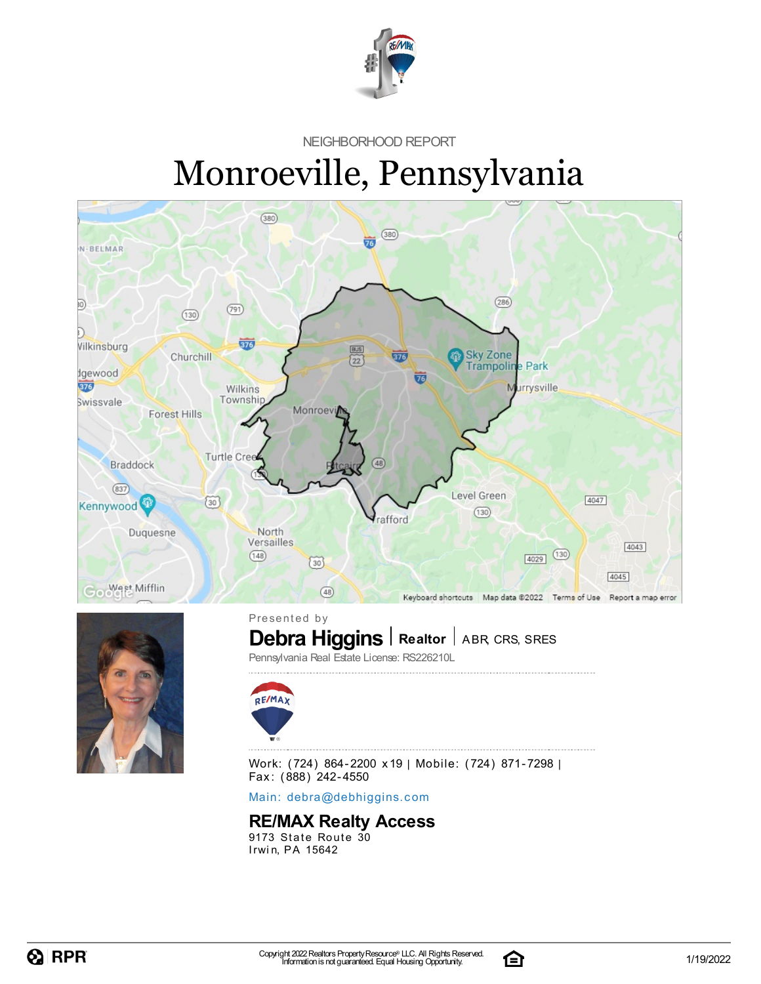

NEIGHBORHOOD REPORT

# Monroeville, Pennsylvania





**Debra Higgins** | Realtor | ABR, CRS, SRES Presented by



Pennsylvania Real Estate License: RS226210L



Work: (724) 864-2200 x19 | Mobile: (724) 871-7298 | Fax: (888) 242-4550

Main: debra[@](mailto:debra@debhiggins.com)debhiggins.com

#### **RE/MAX Realty Access**

9173 State Route 30 Irwin, PA 15642

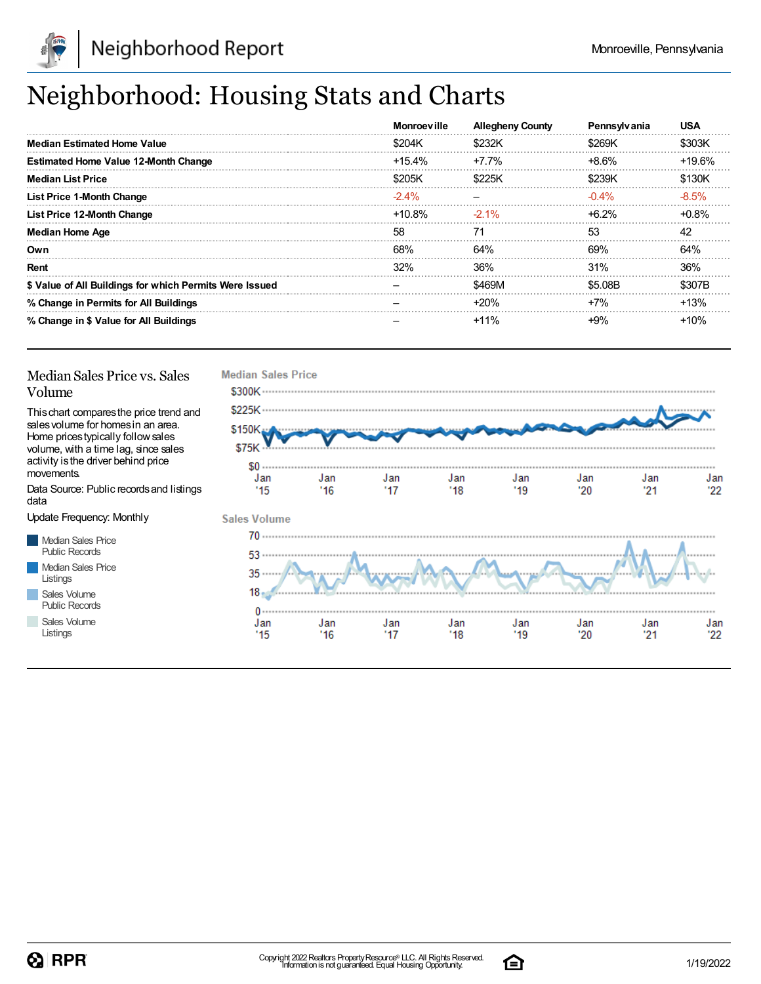

## Neighborhood: Housing Stats and Charts

|                                                         | <b>Monroeville</b> | <b>Allegheny County</b> | <b>Pennsylvania</b> | <b>USA</b> |
|---------------------------------------------------------|--------------------|-------------------------|---------------------|------------|
| <b>Median Estimated Home Value</b>                      | \$204K             | \$232K                  | \$269K              | \$303K     |
| <b>Estimated Home Value 12-Month Change</b>             | $+15.4\%$          | +7.7%                   | $+8.6\%$            | +19.6%     |
| <b>Median List Price</b>                                | \$205K             | \$225K                  | \$239K              | \$130K     |
| <b>List Price 1-Month Change</b>                        | $-2.4\%$           |                         | $-0.4\%$            | $-8.5%$    |
| List Price 12-Month Change                              | +10.8%             | $-2.1\%$                | $+6.2%$             | $+0.8%$    |
| <b>Median Home Age</b>                                  | 58                 | 71                      | 53                  | 42         |
| Own                                                     | 68%                | 64%                     | 69%                 | 64%        |
| Rent                                                    | 32%                | 36%                     | 31%                 | 36%        |
| \$ Value of All Buildings for which Permits Were Issued |                    | \$469M                  | \$5.08B             | \$307B     |
| % Change in Permits for All Buildings                   |                    | $+20%$                  | $+7%$               | $+13%$     |
| % Change in \$ Value for All Buildings                  |                    | $+11%$                  | $+9%$               | $+10%$     |

#### Median Sales Price vs. Sales Volume

Thischart comparesthe price trend and salesvolume for homesin an area. Home pricestypically followsales volume, with a time lag, since sales activity is the driver behind price movements.

Data Source: Public recordsand listings data

Update Frequency: Monthly

Median Sales Price Public Records Median Sales Price Listings Sales Volume

Public Records Sales Volume

Listings



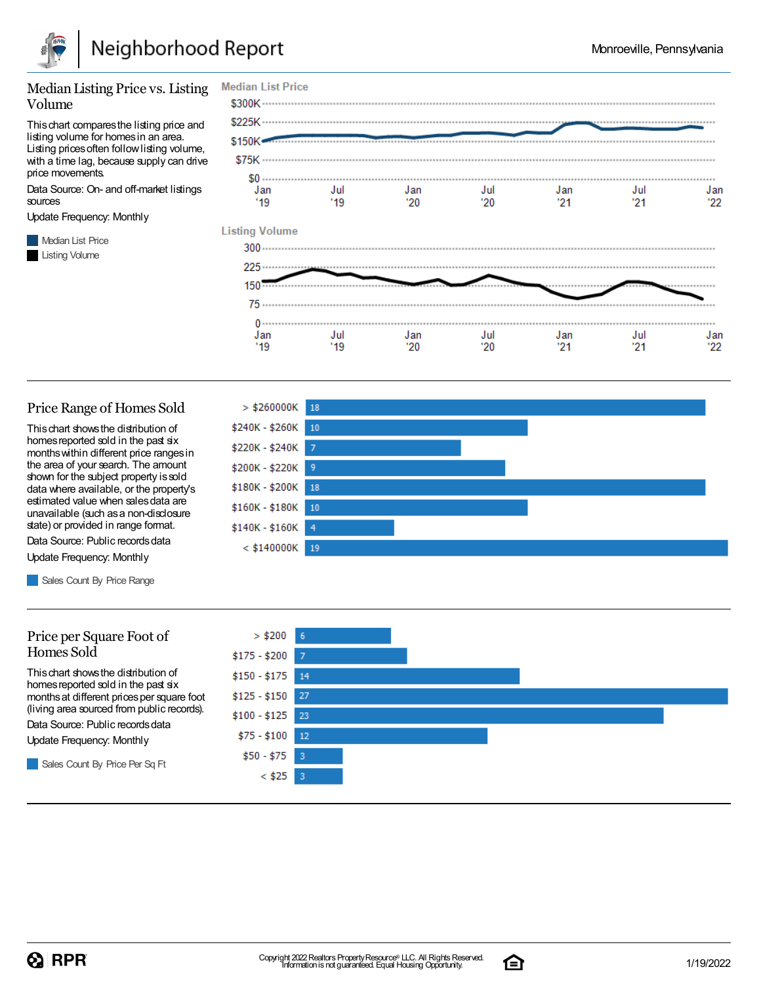

#### Median Listing Price vs. Listing Volume

Thischart comparesthe listing price and listing volume for homesin an area. Listing prices often follow listing volume, with a time lag, because supply can drive price movements.

Data Source: On- and off-market listings sources

Update Frequency: Monthly

**Median List Price** Listing Volume



#### Price Range of Homes Sold

Thischart showsthe distribution of homes reported sold in the past six monthswithin different price rangesin the area of your search. The amount shown for the subject property issold data where available, or the property's estimated value when salesdata are unavailable (such asa non-disclosure state) or provided in range format.

Data Source: Public records data Update Frequency: Monthly

Sales Count By Price Range

#### Price per Square Foot of Homes Sold

Thischart showsthe distribution of homes reported sold in the past six monthsat different pricesper square foot (living area sourced from public records).

Data Source: Public records data

Update Frequency: Monthly

Sales Count By Price Per Sq Ft





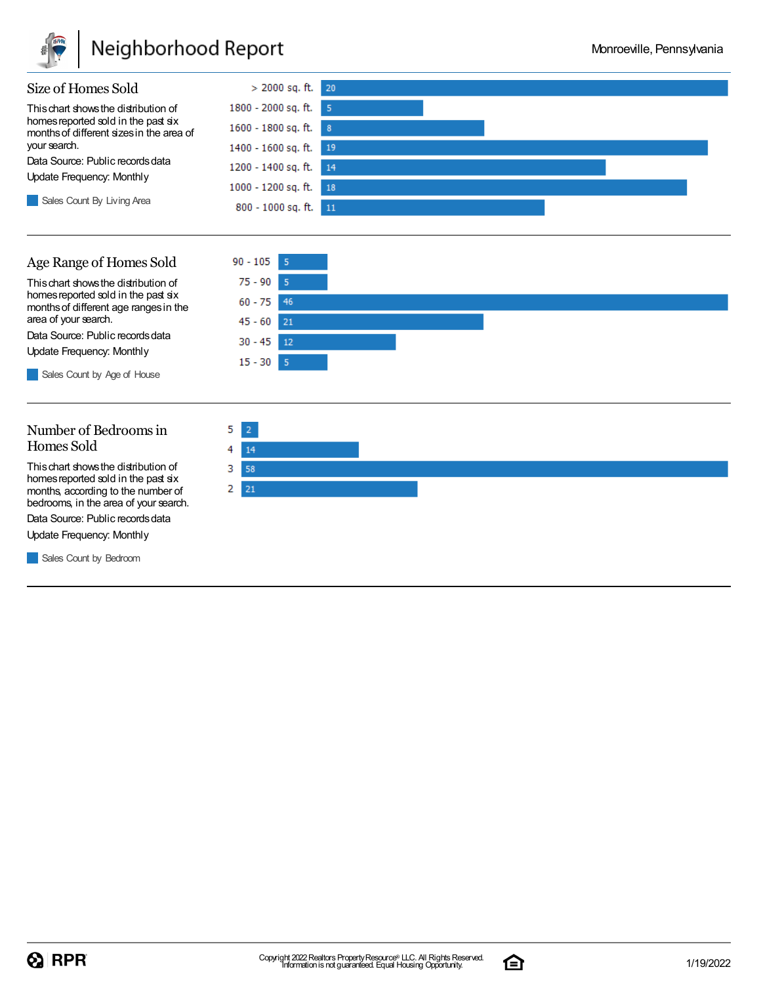

### Neighborhood Report

 $75 - 90$  $60 - 75$ 

 $45 - 60$ 

 $30 - 45$ 

 $15 - 30$ 

46

 $21$ 

 $12$ 

 $\overline{5}$ 



Thischart showsthe distribution of homes reported sold in the past six monthsof different age rangesin the area of your search.

Data Source: Public records data

Update Frequency: Monthly

Sales Count by Age of House

#### Number of Bedroomsin Homes Sold

Thischart showsthe distribution of homes reported sold in the past six months, according to the number of bedrooms, in the area of your search.

Data Source: Public records data

Update Frequency: Monthly

**Sales Count by Bedroom** 



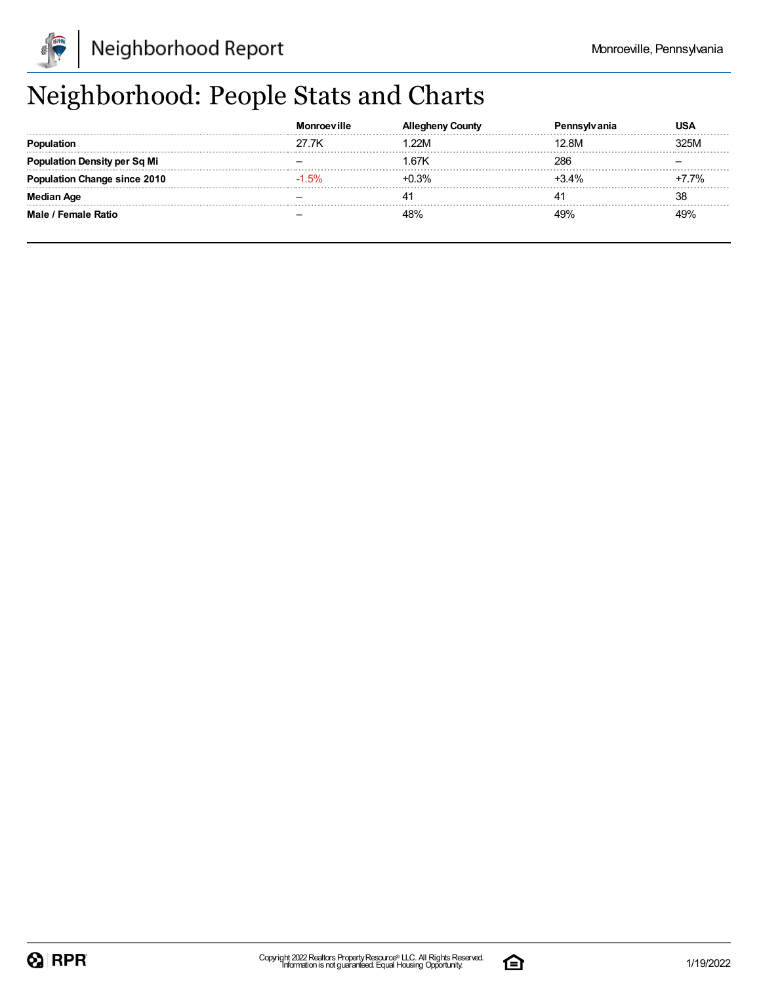

## Neighborhood: People Stats and Charts

|                               |         | .ount∨  | vivania | USA      |
|-------------------------------|---------|---------|---------|----------|
|                               | 27 7K   | 22M     | 12.8M   | 325M     |
| tion Density per Sq Mi        |         | 67K     | 286     |          |
| <b>tion Change since 2010</b> | $-1.5%$ | $+0.3%$ | $+34%$  | $-7.7\%$ |
| <b>Median Age</b>             |         |         |         | 38       |
| Male / Female Ratio           |         |         |         | 49%      |

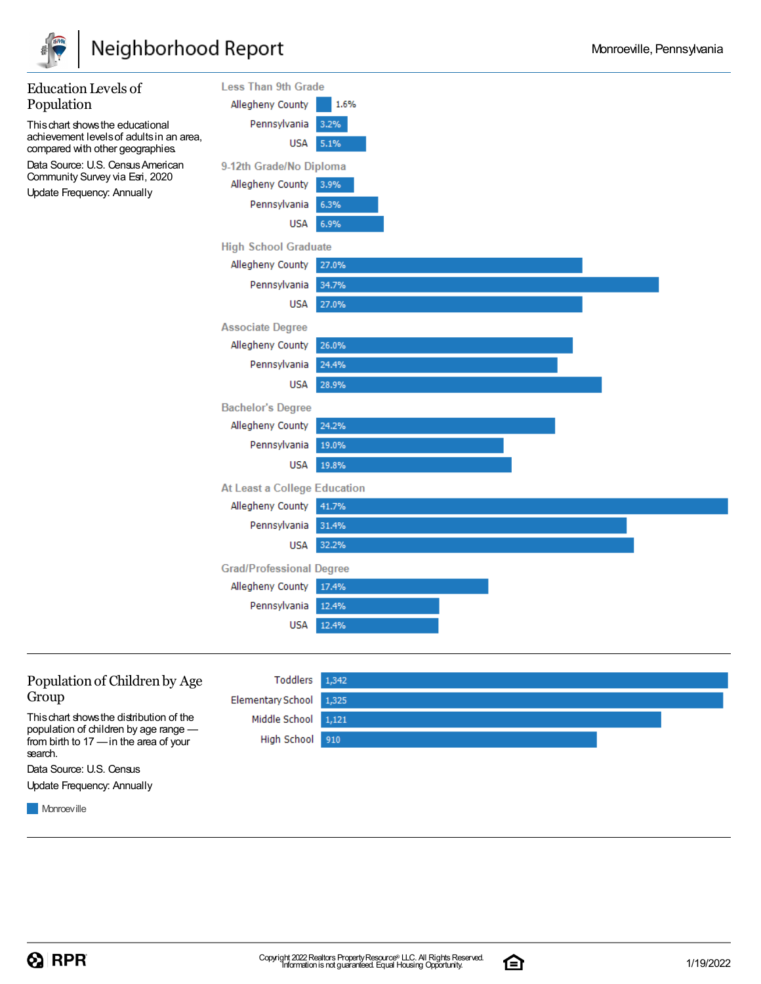





Data Source: U.S. Census Update Frequency: Annually

**Monroeville** 

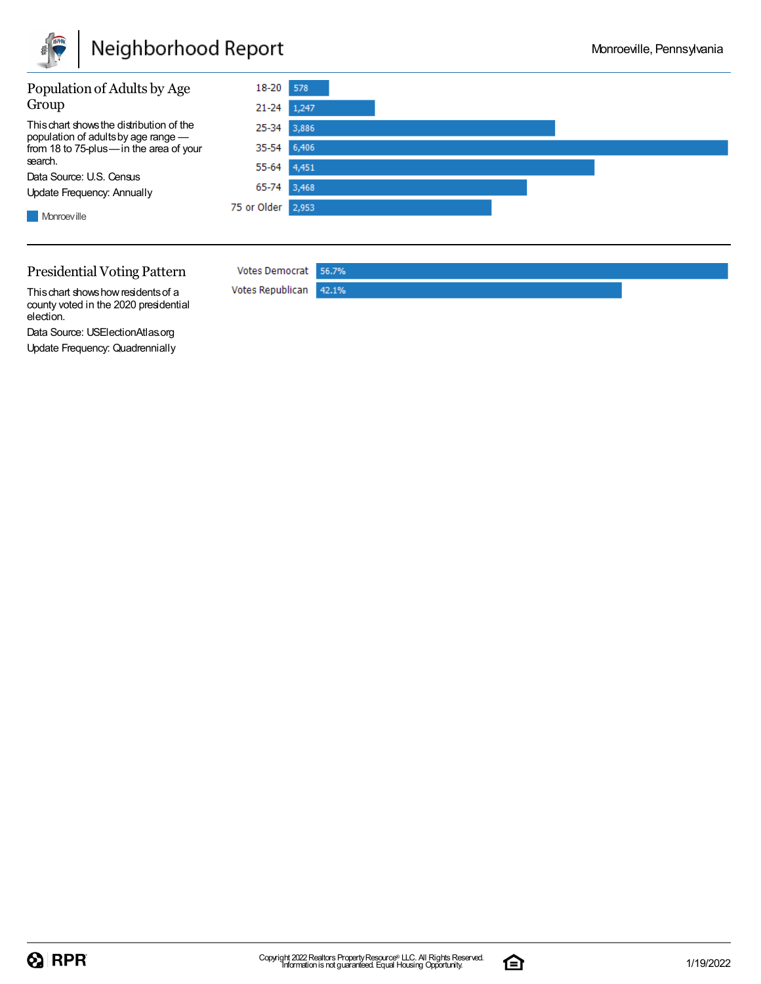

## Neighborhood Report



#### Presidential Voting Pattern

**Votes Democrat** 56.7% Votes Republican 42.1%

This chart shows how residents of a county voted in the 2020 presidential election.

Data Source: USElectionAtlas.org Update Frequency: Quadrennially

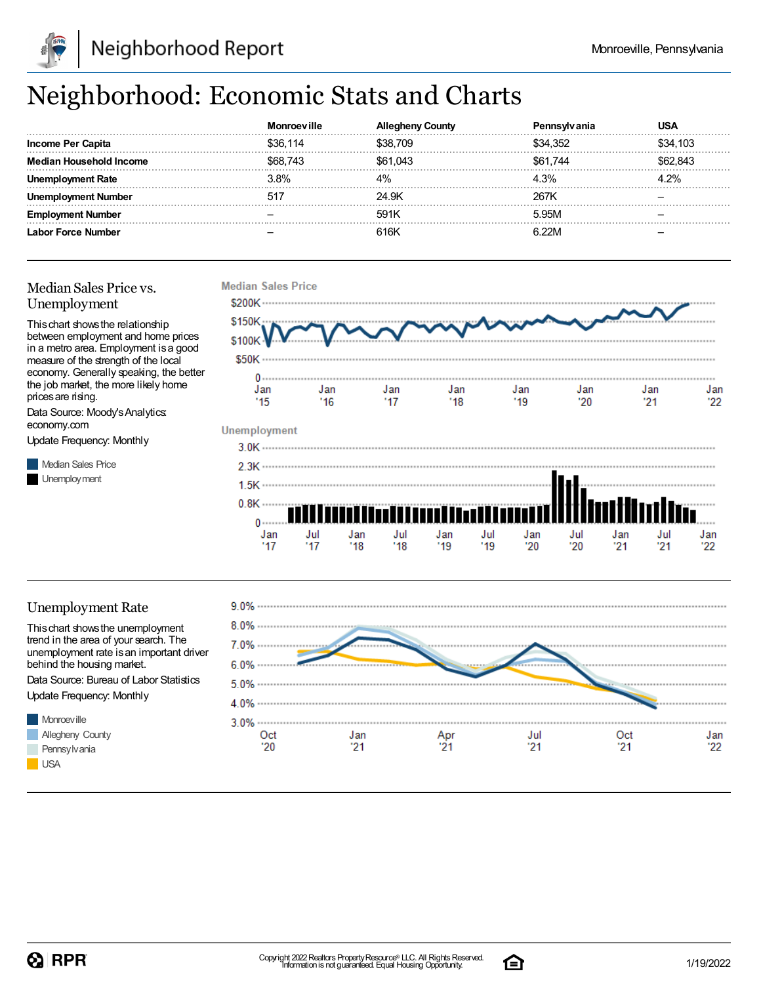

## Neighborhood: Economic Stats and Charts

|                           |          | ountv    | anıa     | JSA      |
|---------------------------|----------|----------|----------|----------|
| <b>Income Per Capita</b>  | \$36.114 | \$38,709 | \$34.352 | \$34,103 |
| Median Household Income   | \$68.743 | \$61,043 | \$61.744 | 62 843   |
|                           | 3.8%     |          | 4.3%     |          |
| : Number                  | $51^{-}$ | 24.9K    | 267k     |          |
| Number                    |          | 591K     | 5.95M    |          |
| <b>Labor Force Number</b> |          | 616K     | R つつN    |          |

#### Median Sales Price vs. Unemployment

Thischart showsthe relationship between employment and home prices in a metro area. Employment isa good measure of the strength of the local economy. Generally speaking, the better the job market, the more likely home prices are rising.

Data Source: Moody'sAnalytics: economy.com

Update Frequency: Monthly

**Median Sales Price** Unemployment



#### Unemployment Rate

Thischart showsthe unemployment trend in the area of your search. The unemployment rate is an important driver behind the housing market.

Data Source: Bureau of Labor Statistics Update Frequency: Monthly





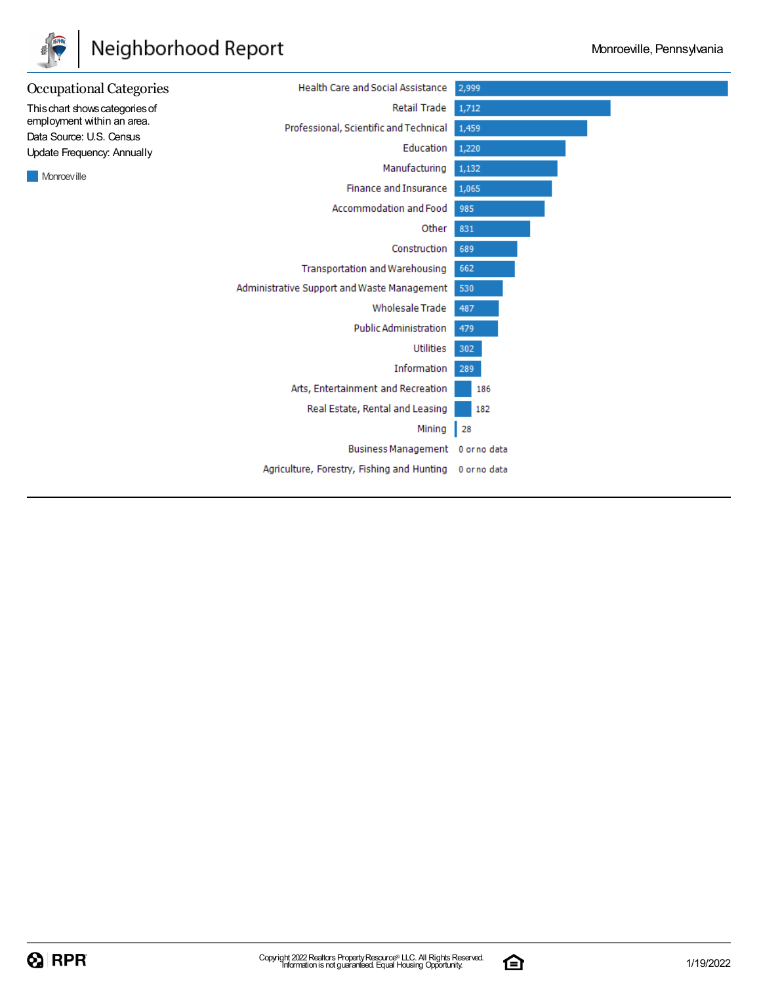

## Neighborhood Report



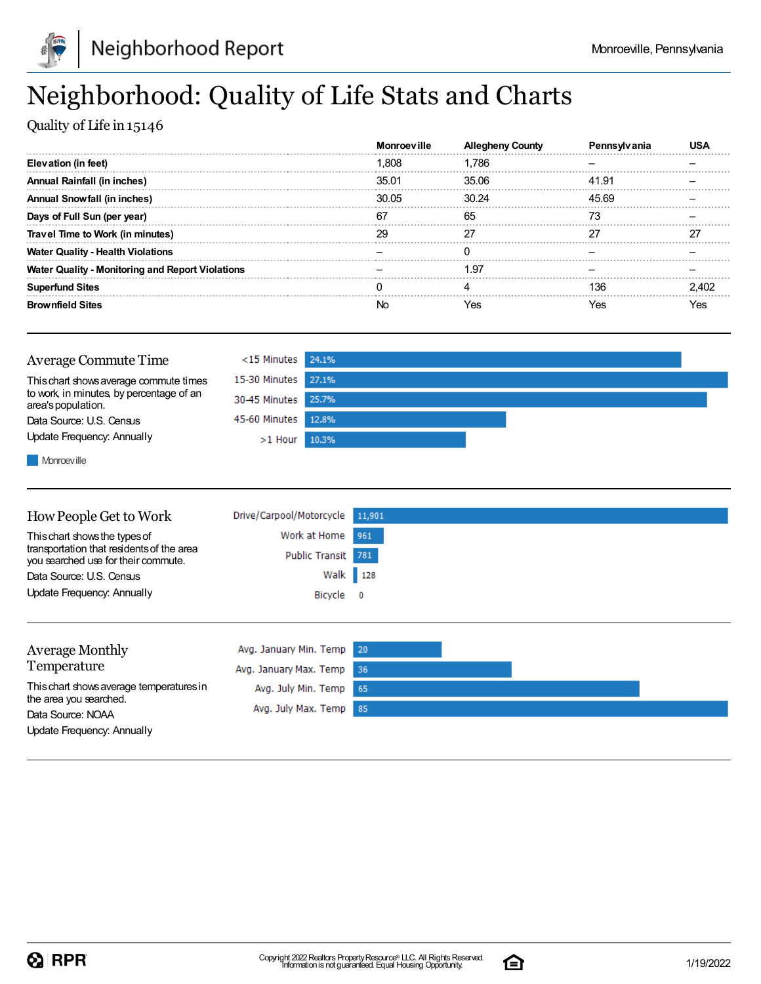

## Neighborhood: Quality of Life Stats and Charts

Quality of Life in 15146

|                                                         | <b>Monroeville</b> | <b>Allegheny County</b> |       |  |
|---------------------------------------------------------|--------------------|-------------------------|-------|--|
| Elevation (in feet)                                     | 1.808              | 1.786                   |       |  |
| Annual Rainfall (in inches)                             | 35.01              | 35.06                   | 41.91 |  |
| Annual Snowfall (in inches)                             | 30.05              | 30.24                   | 45.69 |  |
| Days of Full Sun (per year)                             | 67                 | 65                      |       |  |
| Travel Time to Work (in minutes)                        | 29                 | 27                      |       |  |
| <b>Water Quality - Health Violations</b>                |                    |                         |       |  |
| <b>Water Quality - Monitoring and Report Violations</b> |                    | 1.97                    |       |  |
| <b>Superfund Sites</b>                                  |                    |                         | 136   |  |
| <b>Brownfield Sites</b>                                 |                    | Yes                     | Yes   |  |



**Monroeville** 

| How People Get to Work                                                                                            | Drive/Carpool/Motorcycle | 11,901                   |
|-------------------------------------------------------------------------------------------------------------------|--------------------------|--------------------------|
| This chart shows the types of<br>transportation that residents of the area<br>you searched use for their commute. | Work at Home             | 961                      |
|                                                                                                                   | <b>Public Transit</b>    | 781                      |
| Data Source: U.S. Census                                                                                          |                          | Walk 128                 |
| Update Frequency: Annually                                                                                        | Bicycle                  | $\overline{\phantom{0}}$ |
|                                                                                                                   |                          |                          |
| <b>Average Monthly</b>                                                                                            | Avg. January Min. Temp   | 20                       |
| Temperature                                                                                                       | Avg. January Max. Temp   | -36                      |
| This chart shows average temperatures in                                                                          | Avg. July Min. Temp      | 65                       |
| the area you searched.<br>Data Source: NOAA                                                                       | Avg. July Max. Temp      | 85                       |

Update Frequency: Annually

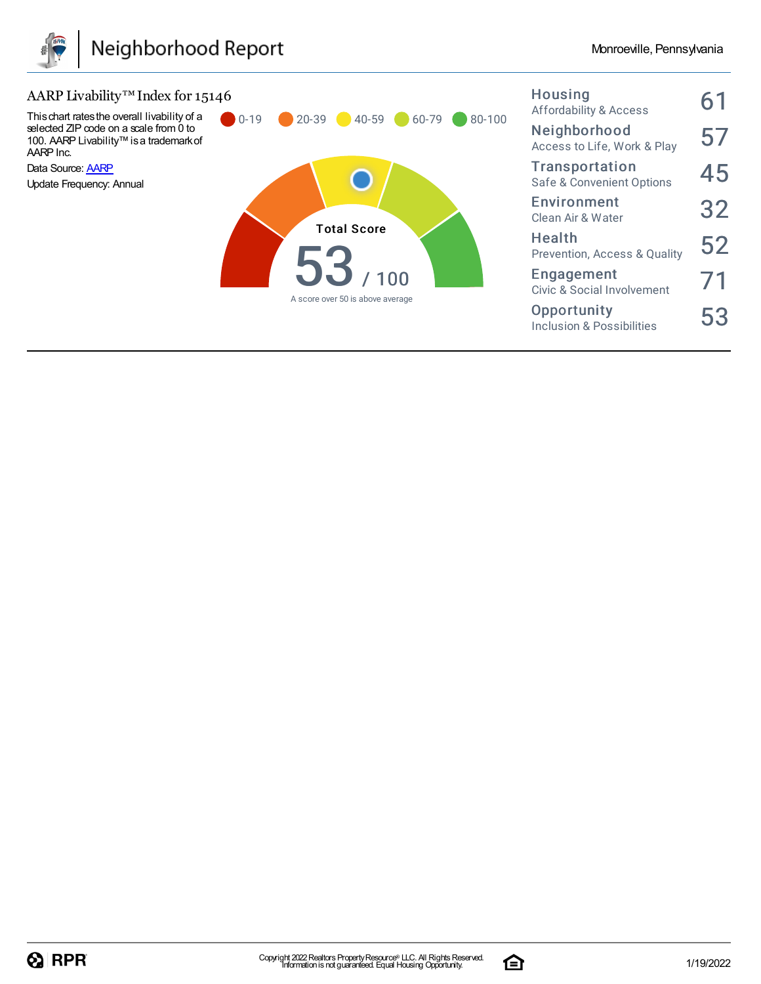